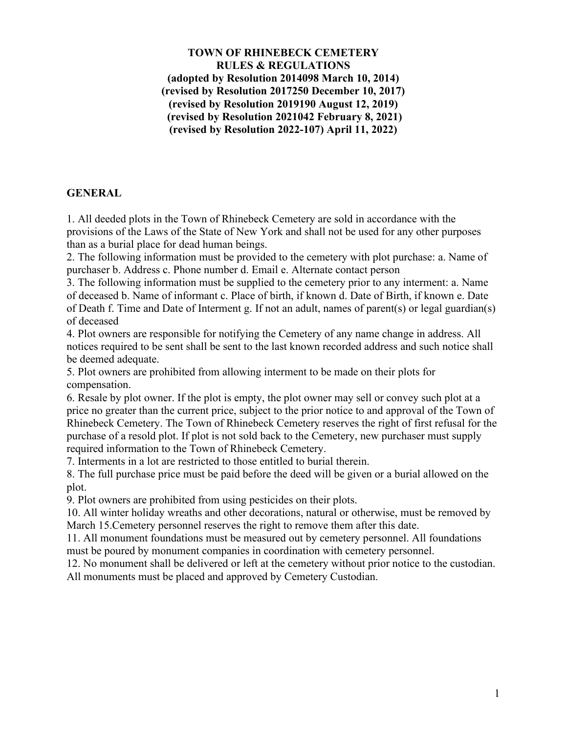**TOWN OF RHINEBECK CEMETERY RULES & REGULATIONS (adopted by Resolution 2014098 March 10, 2014) (revised by Resolution 2017250 December 10, 2017) (revised by Resolution 2019190 August 12, 2019) (revised by Resolution 2021042 February 8, 2021) (revised by Resolution 2022-107) April 11, 2022)**

## **GENERAL**

1. All deeded plots in the Town of Rhinebeck Cemetery are sold in accordance with the provisions of the Laws of the State of New York and shall not be used for any other purposes than as a burial place for dead human beings.

2. The following information must be provided to the cemetery with plot purchase: a. Name of purchaser b. Address c. Phone number d. Email e. Alternate contact person

3. The following information must be supplied to the cemetery prior to any interment: a. Name of deceased b. Name of informant c. Place of birth, if known d. Date of Birth, if known e. Date of Death f. Time and Date of Interment g. If not an adult, names of parent(s) or legal guardian(s) of deceased

4. Plot owners are responsible for notifying the Cemetery of any name change in address. All notices required to be sent shall be sent to the last known recorded address and such notice shall be deemed adequate.

5. Plot owners are prohibited from allowing interment to be made on their plots for compensation.

6. Resale by plot owner. If the plot is empty, the plot owner may sell or convey such plot at a price no greater than the current price, subject to the prior notice to and approval of the Town of Rhinebeck Cemetery. The Town of Rhinebeck Cemetery reserves the right of first refusal for the purchase of a resold plot. If plot is not sold back to the Cemetery, new purchaser must supply required information to the Town of Rhinebeck Cemetery.

7. Interments in a lot are restricted to those entitled to burial therein.

8. The full purchase price must be paid before the deed will be given or a burial allowed on the plot.

9. Plot owners are prohibited from using pesticides on their plots.

10. All winter holiday wreaths and other decorations, natural or otherwise, must be removed by March 15.Cemetery personnel reserves the right to remove them after this date.

11. All monument foundations must be measured out by cemetery personnel. All foundations must be poured by monument companies in coordination with cemetery personnel.

12. No monument shall be delivered or left at the cemetery without prior notice to the custodian. All monuments must be placed and approved by Cemetery Custodian.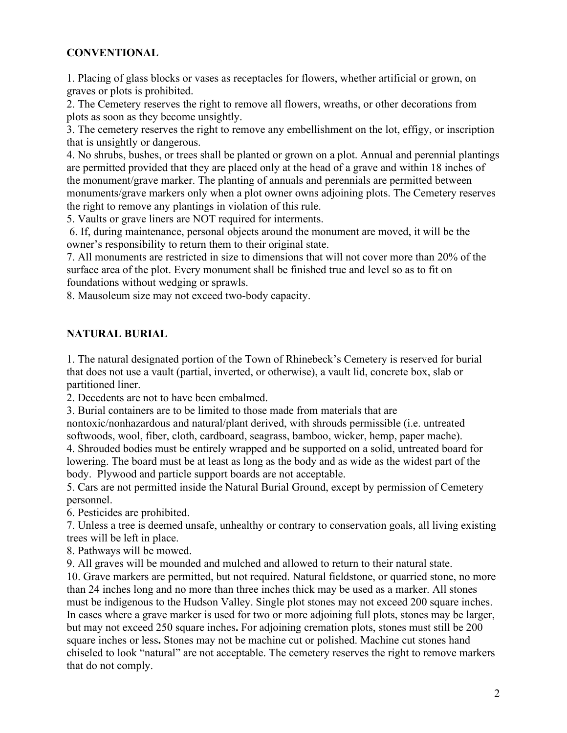## **CONVENTIONAL**

1. Placing of glass blocks or vases as receptacles for flowers, whether artificial or grown, on graves or plots is prohibited.

2. The Cemetery reserves the right to remove all flowers, wreaths, or other decorations from plots as soon as they become unsightly.

3. The cemetery reserves the right to remove any embellishment on the lot, effigy, or inscription that is unsightly or dangerous.

4. No shrubs, bushes, or trees shall be planted or grown on a plot. Annual and perennial plantings are permitted provided that they are placed only at the head of a grave and within 18 inches of the monument/grave marker. The planting of annuals and perennials are permitted between monuments/grave markers only when a plot owner owns adjoining plots. The Cemetery reserves the right to remove any plantings in violation of this rule.

5. Vaults or grave liners are NOT required for interments.

6. If, during maintenance, personal objects around the monument are moved, it will be the owner's responsibility to return them to their original state.

7. All monuments are restricted in size to dimensions that will not cover more than 20% of the surface area of the plot. Every monument shall be finished true and level so as to fit on foundations without wedging or sprawls.

8. Mausoleum size may not exceed two-body capacity.

## **NATURAL BURIAL**

1. The natural designated portion of the Town of Rhinebeck's Cemetery is reserved for burial that does not use a vault (partial, inverted, or otherwise), a vault lid, concrete box, slab or partitioned liner.

2. Decedents are not to have been embalmed.

3. Burial containers are to be limited to those made from materials that are

nontoxic/nonhazardous and natural/plant derived, with shrouds permissible (i.e. untreated softwoods, wool, fiber, cloth, cardboard, seagrass, bamboo, wicker, hemp, paper mache).

4. Shrouded bodies must be entirely wrapped and be supported on a solid, untreated board for lowering. The board must be at least as long as the body and as wide as the widest part of the body. Plywood and particle support boards are not acceptable.

5. Cars are not permitted inside the Natural Burial Ground, except by permission of Cemetery personnel.

6. Pesticides are prohibited.

7. Unless a tree is deemed unsafe, unhealthy or contrary to conservation goals, all living existing trees will be left in place.

8. Pathways will be mowed.

9. All graves will be mounded and mulched and allowed to return to their natural state.

10. Grave markers are permitted, but not required. Natural fieldstone, or quarried stone, no more than 24 inches long and no more than three inches thick may be used as a marker. All stones must be indigenous to the Hudson Valley. Single plot stones may not exceed 200 square inches. In cases where a grave marker is used for two or more adjoining full plots, stones may be larger, but may not exceed 250 square inches**.** For adjoining cremation plots, stones must still be 200 square inches or less**.** Stones may not be machine cut or polished. Machine cut stones hand chiseled to look "natural" are not acceptable. The cemetery reserves the right to remove markers that do not comply.